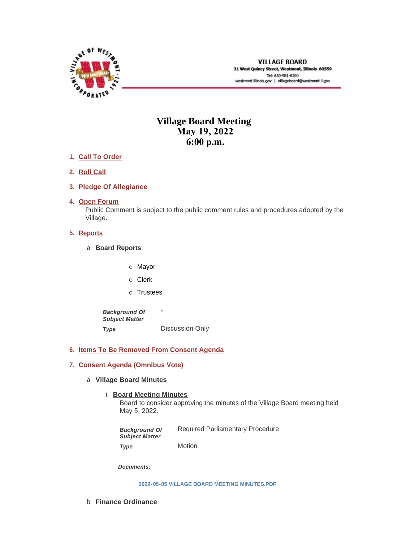

# **Village Board Meeting May 19, 2022 6:00 p.m.**

- **Call To Order 1.**
- **Roll Call 2.**
- **Pledge Of Allegiance 3.**
- 4. Open Forum

Public Comment is subject to the public comment rules and procedures adopted by the Village.

# **5.** Reports

- **Board Reports** a.
	- o Mayor
	- o Clerk
	- o Trustees

\* Discussion Only *Background Of Subject Matter Type* 

# **Items To Be Removed From Consent Agenda 6.**

# **Consent Agenda (Omnibus Vote) 7.**

- **Village Board Minutes** a.
	- **Board Meeting Minutes**

Board to consider approving the minutes of the Village Board meeting held May 5, 2022.

Required Parliamentary Procedure Motion *Background Of Subject Matter Type* 

*Documents:*

#### **[2022-05-05 VILLAGE BOARD MEETING MINUTES.PDF](https://westmont.illinois.gov/AgendaCenter/ViewFile/Item/8678?fileID=13087)**

b. **Finance Ordinance**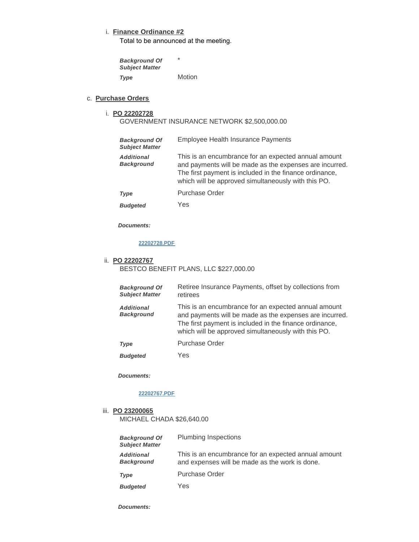# **Finance Ordinance #2** i.

Total to be announced at the meeting.

\* **Motion** *Background Of Subject Matter Type* 

**Purchase Orders** c.

# **PO 22202728** i.

GOVERNMENT INSURANCE NETWORK \$2,500,000.00

| <b>Background Of</b><br><b>Subject Matter</b> | Employee Health Insurance Payments                                                                                                                                                                                                |
|-----------------------------------------------|-----------------------------------------------------------------------------------------------------------------------------------------------------------------------------------------------------------------------------------|
| <b>Additional</b><br><b>Background</b>        | This is an encumbrance for an expected annual amount<br>and payments will be made as the expenses are incurred.<br>The first payment is included in the finance ordinance,<br>which will be approved simultaneously with this PO. |
| Type                                          | <b>Purchase Order</b>                                                                                                                                                                                                             |
| <b>Budgeted</b>                               | Yes                                                                                                                                                                                                                               |

*Documents:*

# **[22202728.PDF](https://westmont.illinois.gov/AgendaCenter/ViewFile/Item/8656?fileID=13066)**

#### **PO 22202767** ii.

BESTCO BENEFIT PLANS, LLC \$227,000.00

| <b>Background Of</b><br><b>Subject Matter</b> | Retiree Insurance Payments, offset by collections from<br>retirees                                                                                                                                                                |
|-----------------------------------------------|-----------------------------------------------------------------------------------------------------------------------------------------------------------------------------------------------------------------------------------|
| <b>Additional</b><br><b>Background</b>        | This is an encumbrance for an expected annual amount<br>and payments will be made as the expenses are incurred.<br>The first payment is included in the finance ordinance,<br>which will be approved simultaneously with this PO. |
| <b>Type</b>                                   | Purchase Order                                                                                                                                                                                                                    |
| <b>Budgeted</b>                               | Yes                                                                                                                                                                                                                               |

*Documents:*

### **[22202767.PDF](https://westmont.illinois.gov/AgendaCenter/ViewFile/Item/8682?fileID=13074)**

# **PO 23200065** iii.

MICHAEL CHADA \$26,640.00

| <b>Background Of</b><br><b>Subject Matter</b> | Plumbing Inspections                                                                                   |
|-----------------------------------------------|--------------------------------------------------------------------------------------------------------|
| <b>Additional</b><br><b>Background</b>        | This is an encumbrance for an expected annual amount<br>and expenses will be made as the work is done. |
| Type                                          | Purchase Order                                                                                         |
| <b>Budgeted</b>                               | Yes                                                                                                    |

*Documents:*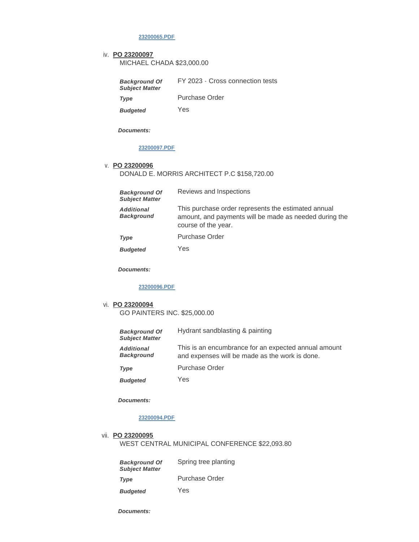**[23200065.PDF](https://westmont.illinois.gov/AgendaCenter/ViewFile/Item/8655?fileID=13065)**

### **PO 23200097** iv.

MICHAEL CHADA \$23,000.00

| <b>Background Of</b><br><b>Subject Matter</b> | FY 2023 - Cross connection tests |
|-----------------------------------------------|----------------------------------|
| Type                                          | Purchase Order                   |
| <b>Budgeted</b>                               | Yes                              |

*Documents:*

# **[23200097.PDF](https://westmont.illinois.gov/AgendaCenter/ViewFile/Item/8687?fileID=13079)**

#### **PO 23200096** v.

DONALD E. MORRIS ARCHITECT P.C \$158,720.00

| <b>Background Of</b><br><b>Subject Matter</b> | Reviews and Inspections                                                                                                              |
|-----------------------------------------------|--------------------------------------------------------------------------------------------------------------------------------------|
| <b>Additional</b><br><b>Background</b>        | This purchase order represents the estimated annual<br>amount, and payments will be made as needed during the<br>course of the year. |
| Type                                          | <b>Purchase Order</b>                                                                                                                |

Yes *Budgeted* 

*Documents:*

#### **[23200096.PDF](https://westmont.illinois.gov/AgendaCenter/ViewFile/Item/8686?fileID=13078)**

# **PO 23200094** vi.

GO PAINTERS INC. \$25,000.00

| <b>Background Of</b><br><b>Subject Matter</b> | Hydrant sandblasting & painting                                                                        |
|-----------------------------------------------|--------------------------------------------------------------------------------------------------------|
| <b>Additional</b><br><b>Background</b>        | This is an encumbrance for an expected annual amount<br>and expenses will be made as the work is done. |
| <b>Type</b>                                   | Purchase Order                                                                                         |
| <b>Budgeted</b>                               | Yes                                                                                                    |

*Documents:*

# **[23200094.PDF](https://westmont.illinois.gov/AgendaCenter/ViewFile/Item/8684?fileID=13076)**

vii. **PO 23200095** 

WEST CENTRAL MUNICIPAL CONFERENCE \$22,093.80

| <b>Background Of</b><br><b>Subject Matter</b> | Spring tree planting |
|-----------------------------------------------|----------------------|
| Type                                          | Purchase Order       |
| <b>Budgeted</b>                               | Yes                  |

*Documents:*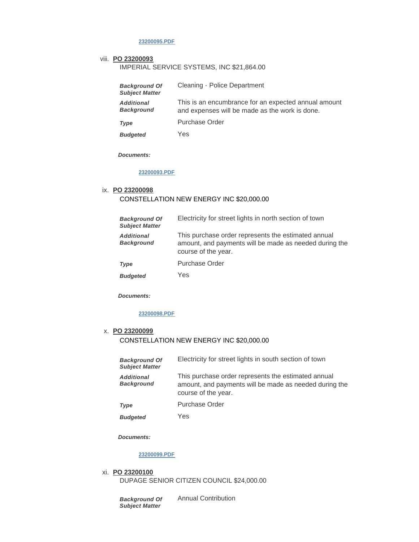### **[23200095.PDF](https://westmont.illinois.gov/AgendaCenter/ViewFile/Item/8685?fileID=13077)**

#### viii. **PO 23200093**

IMPERIAL SERVICE SYSTEMS, INC \$21,864.00

| <b>Background Of</b><br><b>Subject Matter</b> | Cleaning - Police Department                                                                           |
|-----------------------------------------------|--------------------------------------------------------------------------------------------------------|
| <b>Additional</b><br><b>Background</b>        | This is an encumbrance for an expected annual amount<br>and expenses will be made as the work is done. |
| Type                                          | <b>Purchase Order</b>                                                                                  |
| <b>Budgeted</b>                               | Yes                                                                                                    |

*Documents:*

## **[23200093.PDF](https://westmont.illinois.gov/AgendaCenter/ViewFile/Item/8683?fileID=13075)**

# **PO 23200098** ix. CONSTELLATION NEW ENERGY INC \$20,000.00

| <b>Background Of</b><br><b>Subject Matter</b> | Electricity for street lights in north section of town                                                                               |
|-----------------------------------------------|--------------------------------------------------------------------------------------------------------------------------------------|
| <b>Additional</b><br><b>Background</b>        | This purchase order represents the estimated annual<br>amount, and payments will be made as needed during the<br>course of the year. |
| <b>Type</b>                                   | <b>Purchase Order</b>                                                                                                                |
| <b>Budgeted</b>                               | Yes                                                                                                                                  |

*Documents:*

### **[23200098.PDF](https://westmont.illinois.gov/AgendaCenter/ViewFile/Item/8688?fileID=13080)**

# **PO 23200099** x. CONSTELLATION NEW ENERGY INC \$20,000.00

| <b>Background Of</b><br><b>Subject Matter</b> | Electricity for street lights in south section of town                                                                               |
|-----------------------------------------------|--------------------------------------------------------------------------------------------------------------------------------------|
| <b>Additional</b><br><b>Background</b>        | This purchase order represents the estimated annual<br>amount, and payments will be made as needed during the<br>course of the year. |
| Type                                          | <b>Purchase Order</b>                                                                                                                |

Yes *Budgeted* 

#### *Documents:*

### **[23200099.PDF](https://westmont.illinois.gov/AgendaCenter/ViewFile/Item/8689?fileID=13081)**

**PO 23200100** xi. DUPAGE SENIOR CITIZEN COUNCIL \$24,000.00

> *Background Of Subject Matter*

Annual Contribution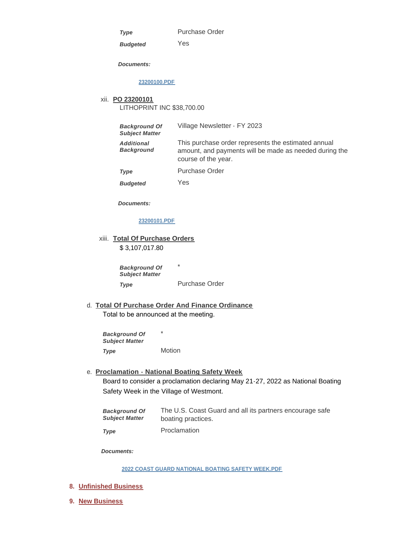*Type* 

Purchase Order

*Budgeted* 

Yes

*Documents:*

#### **[23200100.PDF](https://westmont.illinois.gov/AgendaCenter/ViewFile/Item/8690?fileID=13082)**

# **PO 23200101** xii. LITHOPRINT INC \$38,700.00

| <b>Background Of</b><br><b>Subject Matter</b> | Village Newsletter - FY 2023                                                                                                         |
|-----------------------------------------------|--------------------------------------------------------------------------------------------------------------------------------------|
| <b>Additional</b><br><b>Background</b>        | This purchase order represents the estimated annual<br>amount, and payments will be made as needed during the<br>course of the year. |
| Type                                          | Purchase Order                                                                                                                       |

Yes *Budgeted* 

*Documents:*

# **[23200101.PDF](https://westmont.illinois.gov/AgendaCenter/ViewFile/Item/8691?fileID=13083)**

**Total Of Purchase Orders** xiii. \$ 3,107,017.80

> \* Purchase Order *Background Of Subject Matter Type*

**Total Of Purchase Order And Finance Ordinance** d. Total to be announced at the meeting.

\* Motion *Background Of Subject Matter Type* 

**Proclamation - National Boating Safety Week** e. Board to consider a proclamation declaring May 21-27, 2022 as National Boating Safety Week in the Village of Westmont.

| <b>Background Of</b>  | The U.S. Coast Guard and all its partners encourage safe |
|-----------------------|----------------------------------------------------------|
| <b>Subject Matter</b> | boating practices.                                       |
|                       |                                                          |

Proclamation *Type* 

*Documents:*

**[2022 COAST GUARD NATIONAL BOATING SAFETY WEEK.PDF](https://westmont.illinois.gov/AgendaCenter/ViewFile/Item/8694?fileID=13086)**

- **Unfinished Business 8.**
- **New Business 9.**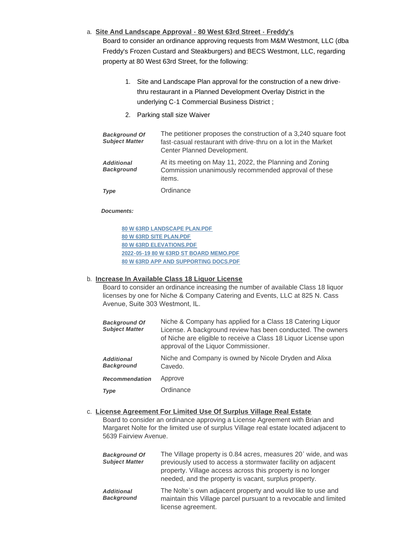# **Site And Landscape Approval - 80 West 63rd Street - Freddy's** a.

Board to consider an ordinance approving requests from M&M Westmont, LLC (dba Freddy's Frozen Custard and Steakburgers) and BECS Westmont, LLC, regarding property at 80 West 63rd Street, for the following:

- 1. Site and Landscape Plan approval for the construction of a new drivethru restaurant in a Planned Development Overlay District in the underlying C-1 Commercial Business District ;
- 2. Parking stall size Waiver

| <b>Background Of</b><br><b>Subject Matter</b> | The petitioner proposes the construction of a 3,240 square foot<br>fast-casual restaurant with drive-thru on a lot in the Market<br>Center Planned Development. |
|-----------------------------------------------|-----------------------------------------------------------------------------------------------------------------------------------------------------------------|
| <b>Additional</b><br><b>Background</b>        | At its meeting on May 11, 2022, the Planning and Zoning<br>Commission unanimously recommended approval of these<br>items.                                       |
| <b>Type</b>                                   | Ordinance                                                                                                                                                       |

### *Documents:*

**[80 W 63RD LANDSCAPE PLAN.PDF](https://westmont.illinois.gov/AgendaCenter/ViewFile/Item/8659?fileID=13068) [80 W 63RD SITE PLAN.PDF](https://westmont.illinois.gov/AgendaCenter/ViewFile/Item/8659?fileID=13069) [80 W 63RD ELEVATIONS.PDF](https://westmont.illinois.gov/AgendaCenter/ViewFile/Item/8659?fileID=13070) [2022-05-19 80 W 63RD ST BOARD MEMO.PDF](https://westmont.illinois.gov/AgendaCenter/ViewFile/Item/8659?fileID=13071) [80 W 63RD APP AND SUPPORTING DOCS.PDF](https://westmont.illinois.gov/AgendaCenter/ViewFile/Item/8659?fileID=13072)**

### **Increase In Available Class 18 Liquor License** b.

Board to consider an ordinance increasing the number of available Class 18 liquor licenses by one for Niche & Company Catering and Events, LLC at 825 N. Cass Avenue, Suite 303 Westmont, IL.

| <b>Background Of</b><br><b>Subject Matter</b> | Niche & Company has applied for a Class 18 Catering Liquor<br>License. A background review has been conducted. The owners<br>of Niche are eligible to receive a Class 18 Liquor License upon<br>approval of the Liquor Commissioner. |
|-----------------------------------------------|--------------------------------------------------------------------------------------------------------------------------------------------------------------------------------------------------------------------------------------|
| <b>Additional</b><br><b>Background</b>        | Niche and Company is owned by Nicole Dryden and Alixa<br>Cavedo.                                                                                                                                                                     |
| <b>Recommendation</b>                         | Approve                                                                                                                                                                                                                              |
| Type                                          | Ordinance                                                                                                                                                                                                                            |

# **License Agreement For Limited Use Of Surplus Village Real Estate** c.

Board to consider an ordinance approving a License Agreement with Brian and Margaret Nolte for the limited use of surplus Village real estate located adjacent to 5639 Fairview Avenue.

| <b>Background Of</b><br><b>Subject Matter</b> | The Village property is 0.84 acres, measures 20' wide, and was<br>previously used to access a stormwater facility on adjacent<br>property. Village access across this property is no longer<br>needed, and the property is vacant, surplus property. |
|-----------------------------------------------|------------------------------------------------------------------------------------------------------------------------------------------------------------------------------------------------------------------------------------------------------|
| <b>Additional</b><br><b>Background</b>        | The Nolte's own adjacent property and would like to use and<br>maintain this Village parcel pursuant to a revocable and limited<br>license agreement.                                                                                                |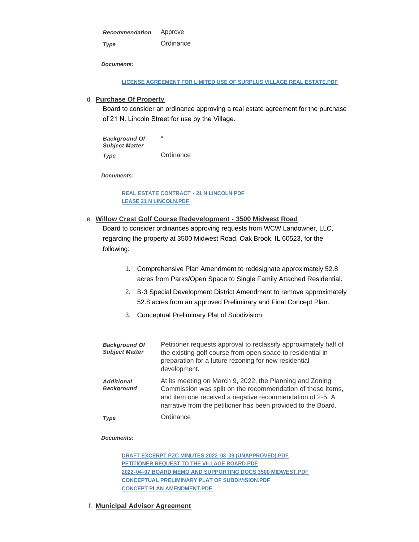Approve **Ordinance** *Recommendation Type* 

*Documents:*

**[LICENSE AGREEMENT FOR LIMITED USE OF SURPLUS VILLAGE REAL ESTATE.PDF](https://westmont.illinois.gov/AgendaCenter/ViewFile/Item/8676?fileID=13073)**

## **Purchase Of Property** d.

Board to consider an ordinance approving a real estate agreement for the purchase of 21 N. Lincoln Street for use by the Village.

\* **Ordinance** *Background Of Subject Matter Type* 

*Documents:*

**[REAL ESTATE CONTRACT -](https://westmont.illinois.gov/AgendaCenter/ViewFile/Item/8695?fileID=13089) 21 N LINCOLN.PDF [LEASE 21 N LINCOLN.PDF](https://westmont.illinois.gov/AgendaCenter/ViewFile/Item/8695?fileID=13088)**

**Willow Crest Golf Course Redevelopment - 3500 Midwest Road** e. Board to consider ordinances approving requests from WCW Landowner, LLC, regarding the property at 3500 Midwest Road, Oak Brook, IL 60523, for the

following:

- 1. Comprehensive Plan Amendment to redesignate approximately 52.8 acres from Parks/Open Space to Single Family Attached Residential.
- 2. B-3 Special Development District Amendment to remove approximately 52.8 acres from an approved Preliminary and Final Concept Plan.
- 3. Conceptual Preliminary Plat of Subdivision.

| <b>Background Of</b><br><b>Subject Matter</b> | Petitioner requests approval to reclassify approximately half of<br>the existing golf course from open space to residential in<br>preparation for a future rezoning for new residential<br>development.                                              |
|-----------------------------------------------|------------------------------------------------------------------------------------------------------------------------------------------------------------------------------------------------------------------------------------------------------|
| <b>Additional</b><br><b>Background</b>        | At its meeting on March 9, 2022, the Planning and Zoning<br>Commission was split on the recommendation of these items,<br>and item one received a negative recommendation of 2-5. A<br>narrative from the petitioner has been provided to the Board. |
| <b>Type</b>                                   | Ordinance                                                                                                                                                                                                                                            |

#### *Documents:*

**[DRAFT EXCERPT PZC MINUTES 2022-03-09 \(UNAPPROVED\).PDF](https://westmont.illinois.gov/AgendaCenter/ViewFile/Item/8583?fileID=12986) [PETITIONER REQUEST TO THE VILLAGE BOARD.PDF](https://westmont.illinois.gov/AgendaCenter/ViewFile/Item/8583?fileID=12987) [2022-04-07 BOARD MEMO AND SUPPORTING DOCS 3500 MIDWEST.PDF](https://westmont.illinois.gov/AgendaCenter/ViewFile/Item/8583?fileID=12983) [CONCEPTUAL PRELIMINARY PLAT OF SUBDIVISION.PDF](https://westmont.illinois.gov/AgendaCenter/ViewFile/Item/8583?fileID=12985) [CONCEPT PLAN AMENDMENT.PDF](https://westmont.illinois.gov/AgendaCenter/ViewFile/Item/8583?fileID=12984)**

**Municipal Advisor Agreement** f.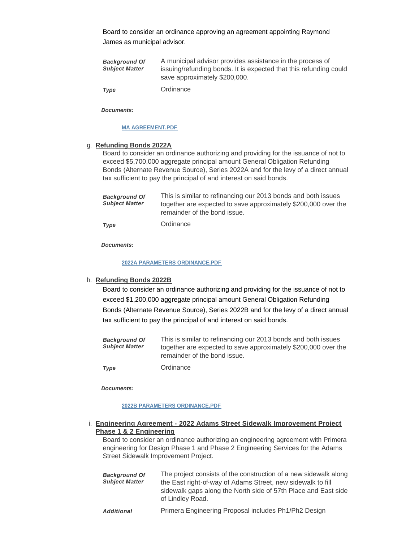Board to consider an ordinance approving an agreement appointing Raymond James as municipal advisor.

| <b>Background Of</b><br><b>Subject Matter</b> | A municipal advisor provides assistance in the process of<br>issuing/refunding bonds. It is expected that this refunding could<br>save approximately \$200,000. |
|-----------------------------------------------|-----------------------------------------------------------------------------------------------------------------------------------------------------------------|
| <b>Type</b>                                   | Ordinance                                                                                                                                                       |

*Documents:*

#### **[MA AGREEMENT.PDF](https://westmont.illinois.gov/AgendaCenter/ViewFile/Item/8653?fileID=13062)**

#### **Refunding Bonds 2022A** g.

Board to consider an ordinance authorizing and providing for the issuance of not to exceed \$5,700,000 aggregate principal amount General Obligation Refunding Bonds (Alternate Revenue Source), Series 2022A and for the levy of a direct annual tax sufficient to pay the principal of and interest on said bonds.

| <b>Background Of</b><br><b>Subiect Matter</b> | This is similar to refinancing our 2013 bonds and both issues<br>together are expected to save approximately \$200,000 over the<br>remainder of the bond issue. |
|-----------------------------------------------|-----------------------------------------------------------------------------------------------------------------------------------------------------------------|
|                                               |                                                                                                                                                                 |

Ordinance *Type* 

*Documents:*

#### **[2022A PARAMETERS ORDINANCE.PDF](https://westmont.illinois.gov/AgendaCenter/ViewFile/Item/8654?fileID=13064)**

### **Refunding Bonds 2022B** h.

Board to consider an ordinance authorizing and providing for the issuance of not to exceed \$1,200,000 aggregate principal amount General Obligation Refunding Bonds (Alternate Revenue Source), Series 2022B and for the levy of a direct annual tax sufficient to pay the principal of and interest on said bonds.

| <b>Background Of</b>  | This is similar to refinancing our 2013 bonds and both issues  |
|-----------------------|----------------------------------------------------------------|
| <b>Subiect Matter</b> | together are expected to save approximately \$200,000 over the |
|                       | remainder of the bond issue.                                   |

**Ordinance** *Type* 

*Documents:*

#### **[2022B PARAMETERS ORDINANCE.PDF](https://westmont.illinois.gov/AgendaCenter/ViewFile/Item/8657?fileID=13067)**

### **Engineering Agreement - 2022 Adams Street Sidewalk Improvement Project**  i. **Phase 1 & 2 Engineering**

Board to consider an ordinance authorizing an engineering agreement with Primera engineering for Design Phase 1 and Phase 2 Engineering Services for the Adams Street Sidewalk Improvement Project.

| <b>Background Of</b>  | The project consists of the construction of a new sidewalk along |
|-----------------------|------------------------------------------------------------------|
| <b>Subject Matter</b> | the East right-of-way of Adams Street, new sidewalk to fill      |
|                       | sidewalk gaps along the North side of 57th Place and East side   |
|                       | of Lindley Road.                                                 |
|                       |                                                                  |

Primera Engineering Proposal includes Ph1/Ph2 Design *Additional*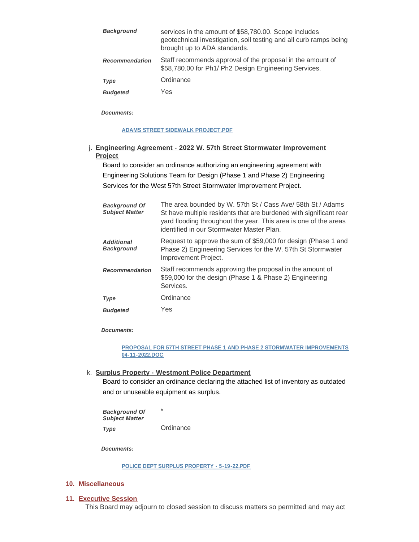| <b>Background</b>     | services in the amount of \$58,780.00. Scope includes<br>geotechnical investigation, soil testing and all curb ramps being<br>brought up to ADA standards. |
|-----------------------|------------------------------------------------------------------------------------------------------------------------------------------------------------|
| <b>Recommendation</b> | Staff recommends approval of the proposal in the amount of<br>\$58,780.00 for Ph1/ Ph2 Design Engineering Services.                                        |
| <b>Type</b>           | Ordinance                                                                                                                                                  |
| <b>Budgeted</b>       | Yes                                                                                                                                                        |

*Documents:*

### **[ADAMS STREET SIDEWALK PROJECT.PDF](https://westmont.illinois.gov/AgendaCenter/ViewFile/Item/8651?fileID=13060)**

# **Engineering Agreement - 2022 W. 57th Street Stormwater Improvement**  j. **Project**

Board to consider an ordinance authorizing an engineering agreement with Engineering Solutions Team for Design (Phase 1 and Phase 2) Engineering Services for the West 57th Street Stormwater Improvement Project.

| <b>Background Of</b><br><b>Subject Matter</b> | The area bounded by W. 57th St / Cass Ave/ 58th St / Adams<br>St have multiple residents that are burdened with significant rear<br>yard flooding throughout the year. This area is one of the areas<br>identified in our Stormwater Master Plan. |
|-----------------------------------------------|---------------------------------------------------------------------------------------------------------------------------------------------------------------------------------------------------------------------------------------------------|
| <b>Additional</b><br><b>Background</b>        | Request to approve the sum of \$59,000 for design (Phase 1 and<br>Phase 2) Engineering Services for the W. 57th St Stormwater<br>Improvement Project.                                                                                             |
| <b>Recommendation</b>                         | Staff recommends approving the proposal in the amount of<br>\$59,000 for the design (Phase 1 & Phase 2) Engineering<br>Services.                                                                                                                  |
| Type                                          | Ordinance                                                                                                                                                                                                                                         |
| <b>Budgeted</b>                               | Yes                                                                                                                                                                                                                                               |

*Documents:*

# **[PROPOSAL FOR 57TH STREET PHASE 1 AND PHASE 2 STORMWATER IMPROVEMENTS](https://westmont.illinois.gov/AgendaCenter/ViewFile/Item/8652?fileID=13061)  04-11-2022.DOC**

**Surplus Property - Westmont Police Department** k.

Board to consider an ordinance declaring the attached list of inventory as outdated and or unuseable equipment as surplus.

\* **Ordinance** *Background Of Subject Matter Type* 

*Documents:*

**[POLICE DEPT SURPLUS PROPERTY - 5-19-22.PDF](https://westmont.illinois.gov/AgendaCenter/ViewFile/Item/8650?fileID=13059)**

### **Miscellaneous 10.**

### **Executive Session 11.**

This Board may adjourn to closed session to discuss matters so permitted and may act